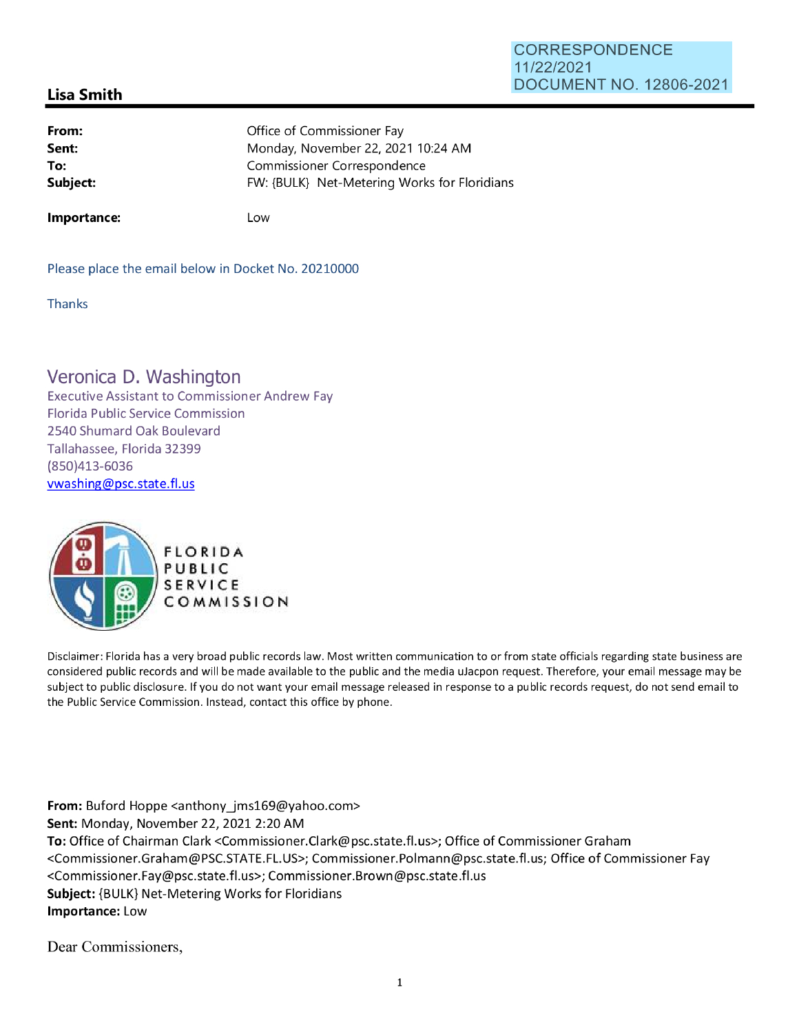## **CORRESPONDENCE**  11/22/2021 **DOCUMENT** NO. 12806-2021

## **Lisa Smith**

| From:    | Office of Commissioner Fay                   |
|----------|----------------------------------------------|
| Sent:    | Monday, November 22, 2021 10:24 AM           |
| To:      | Commissioner Correspondence                  |
| Subject: | FW: {BULK} Net-Metering Works for Floridians |
|          |                                              |

**Importance:** 

Low

Please place the email below in Docket No. 20210000

**Thanks** 

## **Veronica D. Washington**

Executive Assistant to Commissioner Andrew Fay Florida Public Service Commission 2540 Shumard Oak Boulevard Tallahassee, Florida 32399 (850)413-6036 vwashing@psc.state.fl.us



Disclaimer: Florida has a very broad public records law. Most written communication to or from state officials regarding state business are considered public records and will be made available to the public and the media uJacpon request. Therefore, your email message may be subject to public disclosure. If you do not want your email message released in response to a public records request, do not send email to the Public Service Commission. Instead, contact this office by phone.

**From:** Buford Hoppe <anthony jms169@yahoo.com> **Sent:** Monday, November 22, 2021 2:20 AM **To:** Office of Chairman Clark <Commissioner.Clark@psc.state.fl.us>; Office of Commissioner Graham <Commissioner.Graham@PSC.STATE.FL.US>; Commissioner.Polmann@psc.state.fl.us; Office of Commissioner Fay <Commissioner.Fay@psc.state.fl.us>; Commissioner.Brown@psc.state.fl.us **Subject:** {BULK} Net-Metering Works for Floridians **Importance:** Low

Dear Commissioners,